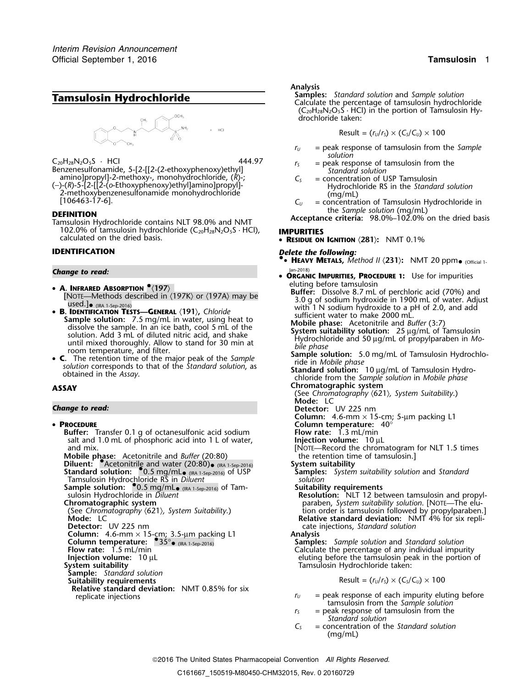

- amino]propyl]-2-methoxy-, monohydrochloride,  $(R)$ -;  $C<sub>S</sub>$  = concentration of USP Tamsulosin
- $\frac{1}{2}$ -methoxybenzenesulfonamide monohydrochloride<br>  $\frac{1}{2}$  = concentration of Tamsulosin Hydrochloride in<br>  $\frac{1}{2}$  = concentration of Tamsulosin Hydrochloride in<br> **EFINITION**

102.0% of tamsulosin hydrochloride (C20H28N2O5S · HCl), **IMPURITIES** calculated on the dried basis. •

## Jan-2018) *Change to read:* •

- A. INFRARED ABSORPTION  $^{\bullet}$ (197)<br>Euffer: Dissolve 8.7 mL of perchloric acid (70%) and
- **B. IDENTIFICATION TESTS—GENERAL** (191), Chloride<br> **B. IDENTIFICATION TESTS—GENERAL** (191), Chloride<br>
Sample solution: 7.5 mg/mL in water, using heat to<br>
dissolve the sample. In an ice bath, cool 5 mL of the<br>
solution. A
- until mixed thoroughly. Allow to stand for 30 min at<br>
room temperature, and filter.<br> **C.** The retention time of the major peak of the *Sample*<br>
solution: 5.0 mg/mL of Tamsulosin Hydrochlo-<br>
solution corresponds to that of

- PROCEDURE
	- **Buffer:** Transfer 0.1 g of octanesulfonic acid sodium **Flow rate:** 1.3 mL/min salt and 1.0 mL of phosphoric acid into 1 L of water, salt and 1.0 mL of phosphoric acid into 1 L of water,<br>and mix. [NOTE—Record the chromatogram for NLT 1.5 times [NOTE—Record the chromatogram for NLT 1.5 times<br>**Mobile phase:** Acetonitrile and *Buffer* (20:80) the retentio **Mobile phase:** Acetonitrile and *Buffer* (20:80) the retention time of tamsulosin.] **Diluent:** •.Acetonitrile and water (20:80)•**Standard solution:**  $^{\bullet}$ 0.5 mg/mL.
	- Tamsulosin Hydrochloride RS in *Diluent solution* **Sample solution:** •.0.5 mg/mL•(identition: <sup>0</sup>0.5 mg/mL<sub>® (IRA 1-Sep-2016)</sub> of Tam-<br>sulosin Hydrochloride in *Diluent* **of Tam- Suitability requirements**<br>**Resolution:** NLT 12 bet

- 
- 

**Column:** 4.6-mm × 15-cm; 3.5-µm packing L1 **Analysis Column temperature:** •.35°•

- 
- 

- **Sample:** *Standard solution*
- **Relative standard deviation:** NMT 0.85% for six

### *.* **Analysis**

**Tamsulosin Hydrochloride Samples:** *Standard solution* and *Sample solution* **Tamsulosin hydrochloride** Calculate the percentage of tamsulosin hydrochloride  $(C_{20}H_{28}N_2O_5S \cdot HCl)$  in the portion of Tamsulosin Hydrochloride taken:

$$
Result = (r_U/r_S) \times (C_S/C_U) \times 100
$$

- *<sup>r</sup><sup>U</sup>* = peak response of tamsulosin from the *Sample solution*
- $C_{20}H_{28}N_2O_5S$  · HCI  $444.97$   $r_s$  = peak response of tamsulosin from the Benzenesulfonamide, 5-[2-[[2-(2-ethoxyphenoxy)ethyl] *r<sub>s</sub>* = peak response of tamsulosin from the
- (−)-(*R*)-5-[2-[[2-(*o*-Ethoxyphenoxy)ethyl]amino]propyl]- Hydrochloride RS in the *Standard solution*
	-

the *Sample solution* (mg/mL) **DEFINITION Acceptance criteria:** 98.0%–102.0% on the dried basis Tamsulosin Hydrochloride contains NLT 98.0% and NMT

**RESIDUE ON IGNITION** 〈**281**〉**:** NMT 0.1%

# **IDENTIFICATION** *Delete the following:*

- **•.**• **HEAVY METALS,** *Method II* 〈**231**〉**:** NMT 20 ppm• (Official 1-
- **ORGANIC IMPURITIES, PROCEDURE <sup>1</sup>:** Use for impurities
- [NOTE—Methods described in  $\langle 197K \rangle$  or  $\langle 197A \rangle$  may be<br>used.]<br>Interaction Tests CENERAL (191) Chloride and the same of the socium hydroxide in 1900 mL of water. Adjust<br>With 1 N sodium hydroxide to a pH of 2.0, and a
	-
	-
	-
- **ASSAY Chromatographic system**
	- (See *Chromatography* 〈621〉*, System Suitability*.) **Mode:** LC
- *Change to read:* **Detector:** UV 225 nm
	- **Column:** 4.6-mm × 15-cm; 5-µm packing L1
	- **Column temperature:** 40°
	-
	-
	-
	- System suitability
	- **Samples:** *System suitability solution and Standard solution*
	-
	- sulosin Hydrochloride in *Diluent* **Resolution:** NLT 12 between tamsulosin and propyl-<br>Chromatographic system **Chromatographic system** elu-**Chromatographic system** paraben, *System suitability solution*. [NOTE—The elu- (See *Chromatography* 〈621〉*, System Suitability*.) tion order is tamsulosin followed by propylparaben.] **Mode:** LC **Relative standard deviation:** NMT 4% for six repli-Detector: UV 225 nm<br> **Column:** 4.6-mm × 15-cm; 3.5-µm packing L1 **column:** 4.6-mm × 15-cm; 3.5-µm packing L1 **Analysis** 
		-

 (IRA 1-Sep-2016) **Samples:** *Sample solution* and *Standard solution* **Flow rate:** 1.5 mL/min **Calculate the percentage of any individual impurity Injection volume:** 10 µL **Calculate the percentage of any individual impurity linjection volume:** 10 µL eluting before the tamsulosin peak in the portion of **System suitability** Tamsulosin Hydrochloride taken:

 $\text{Result} = (r_U/r_S) \times (C_S/C_U) \times 100$ 

- replicate injections  $r_U$  = peak response of each impurity eluting before replicate injections tamsulosin from the *Sample solution*
	- $r<sub>S</sub>$  = peak response of tamsulosin from the *Standard solution*
	- *C<sup>S</sup>* = concentration of the *Standard solution* (mg/mL)